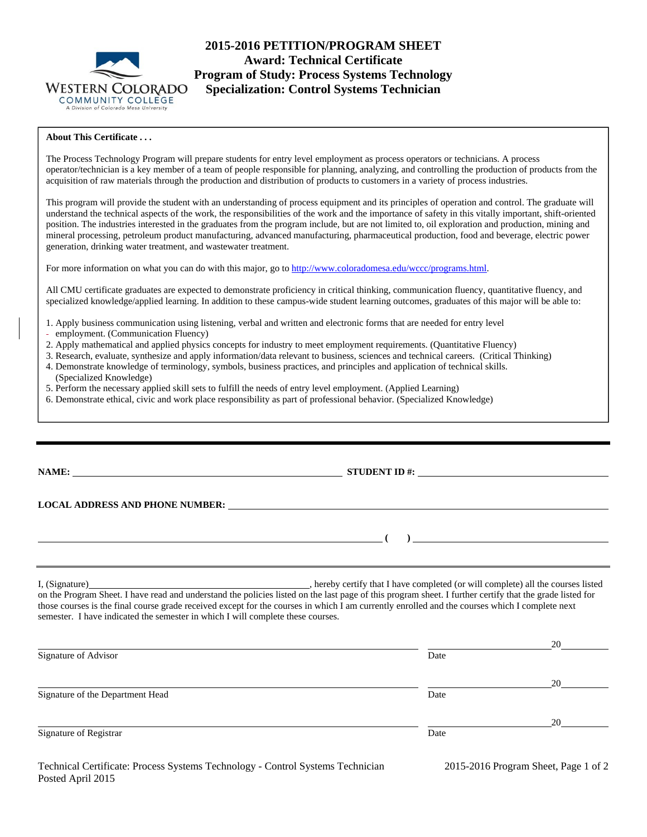

**2015-2016 PETITION/PROGRAM SHEET Award: Technical Certificate Program of Study: Process Systems Technology Specialization: Control Systems Technician** 

# **About This Certificate . . .**

The Process Technology Program will prepare students for entry level employment as process operators or technicians. A process operator/technician is a key member of a team of people responsible for planning, analyzing, and controlling the production of products from the acquisition of raw materials through the production and distribution of products to customers in a variety of process industries.

This program will provide the student with an understanding of process equipment and its principles of operation and control. The graduate will understand the technical aspects of the work, the responsibilities of the work and the importance of safety in this vitally important, shift-oriented position. The industries interested in the graduates from the program include, but are not limited to, oil exploration and production, mining and mineral processing, petroleum product manufacturing, advanced manufacturing, pharmaceutical production, food and beverage, electric power generation, drinking water treatment, and wastewater treatment.

For more information on what you can do with this major, go to http://www.coloradomesa.edu/wccc/programs.html.

All CMU certificate graduates are expected to demonstrate proficiency in critical thinking, communication fluency, quantitative fluency, and specialized knowledge/applied learning. In addition to these campus-wide student learning outcomes, graduates of this major will be able to:

- 1. Apply business communication using listening, verbal and written and electronic forms that are needed for entry level
- employment. (Communication Fluency)
- 2. Apply mathematical and applied physics concepts for industry to meet employment requirements. (Quantitative Fluency)
- 3. Research, evaluate, synthesize and apply information/data relevant to business, sciences and technical careers. (Critical Thinking)
- 4. Demonstrate knowledge of terminology, symbols, business practices, and principles and application of technical skills. (Specialized Knowledge)
- 5. Perform the necessary applied skill sets to fulfill the needs of entry level employment. (Applied Learning)
- 6. Demonstrate ethical, civic and work place responsibility as part of professional behavior. (Specialized Knowledge)

| NAME:                                                                                                                                                                                                                         | STUDENT ID #: $\_$                                                                                                                                                                                                                                                                                  |
|-------------------------------------------------------------------------------------------------------------------------------------------------------------------------------------------------------------------------------|-----------------------------------------------------------------------------------------------------------------------------------------------------------------------------------------------------------------------------------------------------------------------------------------------------|
|                                                                                                                                                                                                                               | LOCAL ADDRESS AND PHONE NUMBER: University of the contract of the contract of the contract of the contract of the contract of the contract of the contract of the contract of the contract of the contract of the contract of                                                                       |
|                                                                                                                                                                                                                               | $\overline{a}$ (b) and the contract of $\overline{a}$ (c) and $\overline{a}$ (c) and $\overline{a}$ (c) and $\overline{a}$ (c) and $\overline{a}$ (c) and $\overline{a}$ (c) and $\overline{a}$ (c) and $\overline{a}$ (c) and $\overline{a}$ (c) and $\overline{a}$ (c) and $\overline{a}$ (c) and |
|                                                                                                                                                                                                                               |                                                                                                                                                                                                                                                                                                     |
| I, (Signature) 2008. Example 2008. The same state of the state of the state of the state of the state of the state of the state of the state of the state of the state of the state of the state of the state of the state of | hereby certify that I have completed (or will complete) all the courses listed                                                                                                                                                                                                                      |

on the Program Sheet. I have read and understand the policies listed on the last page of this program sheet. I further certify that the grade listed for those courses is the final course grade received except for the courses in which I am currently enrolled and the courses which I complete next semester. I have indicated the semester in which I will complete these courses.

|                                  |      | 20 |
|----------------------------------|------|----|
| Signature of Advisor             | Date |    |
|                                  |      | 20 |
| Signature of the Department Head | Date |    |
|                                  |      | 20 |
| Signature of Registrar           | Date |    |